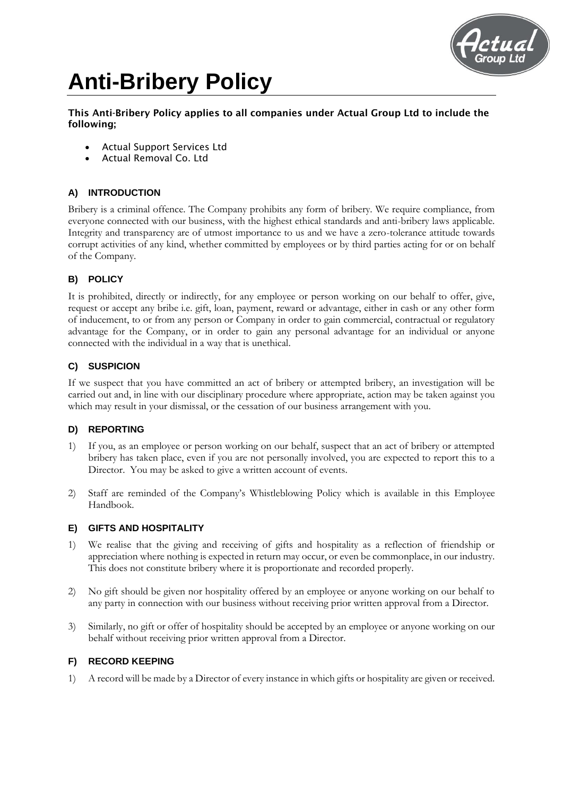

# **Anti-Bribery Policy**

This Anti-Bribery Policy applies to all companies under Actual Group Ltd to include the following;

- Actual Support Services Ltd
- Actual Removal Co. Ltd

## **A) INTRODUCTION**

Bribery is a criminal offence. The Company prohibits any form of bribery. We require compliance, from everyone connected with our business, with the highest ethical standards and anti-bribery laws applicable. Integrity and transparency are of utmost importance to us and we have a zero-tolerance attitude towards corrupt activities of any kind, whether committed by employees or by third parties acting for or on behalf of the Company.

## **B) POLICY**

It is prohibited, directly or indirectly, for any employee or person working on our behalf to offer, give, request or accept any bribe i.e. gift, loan, payment, reward or advantage, either in cash or any other form of inducement, to or from any person or Company in order to gain commercial, contractual or regulatory advantage for the Company, or in order to gain any personal advantage for an individual or anyone connected with the individual in a way that is unethical.

## **C) SUSPICION**

If we suspect that you have committed an act of bribery or attempted bribery, an investigation will be carried out and, in line with our disciplinary procedure where appropriate, action may be taken against you which may result in your dismissal, or the cessation of our business arrangement with you.

### **D) REPORTING**

- 1) If you, as an employee or person working on our behalf, suspect that an act of bribery or attempted bribery has taken place, even if you are not personally involved, you are expected to report this to a Director. You may be asked to give a written account of events.
- 2) Staff are reminded of the Company's Whistleblowing Policy which is available in this Employee Handbook.

### **E) GIFTS AND HOSPITALITY**

- 1) We realise that the giving and receiving of gifts and hospitality as a reflection of friendship or appreciation where nothing is expected in return may occur, or even be commonplace, in our industry. This does not constitute bribery where it is proportionate and recorded properly.
- 2) No gift should be given nor hospitality offered by an employee or anyone working on our behalf to any party in connection with our business without receiving prior written approval from a Director.
- 3) Similarly, no gift or offer of hospitality should be accepted by an employee or anyone working on our behalf without receiving prior written approval from a Director.

### **F) RECORD KEEPING**

1) A record will be made by a Director of every instance in which gifts or hospitality are given or received.